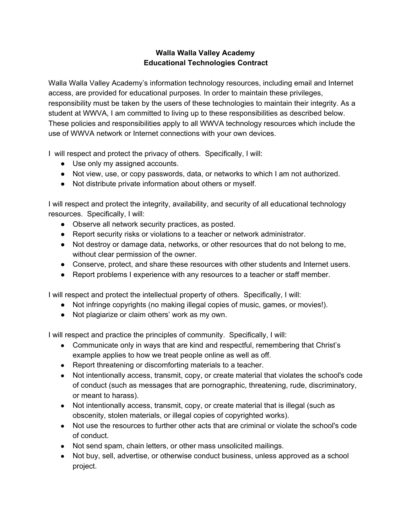## **Walla Walla Valley Academy Educational Technologies Contract**

Walla Walla Valley Academy's information technology resources, including email and Internet access, are provided for educational purposes. In order to maintain these privileges, responsibility must be taken by the users of these technologies to maintain their integrity. As a student at WWVA, I am committed to living up to these responsibilities as described below. These policies and responsibilities apply to all WWVA technology resources which include the use of WWVA network or Internet connections with your own devices.

I will respect and protect the privacy of others. Specifically, I will:

- Use only my assigned accounts.
- Not view, use, or copy passwords, data, or networks to which I am not authorized.
- Not distribute private information about others or myself.

I will respect and protect the integrity, availability, and security of all educational technology resources. Specifically, I will:

- Observe all network security practices, as posted.
- Report security risks or violations to a teacher or network administrator.
- Not destroy or damage data, networks, or other resources that do not belong to me, without clear permission of the owner.
- Conserve, protect, and share these resources with other students and Internet users.
- Report problems I experience with any resources to a teacher or staff member.

I will respect and protect the intellectual property of others. Specifically, I will:

- Not infringe copyrights (no making illegal copies of music, games, or movies!).
- Not plagiarize or claim others' work as my own.

I will respect and practice the principles of community. Specifically, I will:

- Communicate only in ways that are kind and respectful, remembering that Christ's example applies to how we treat people online as well as off.
- Report threatening or discomforting materials to a teacher.
- Not intentionally access, transmit, copy, or create material that violates the school's code of conduct (such as messages that are pornographic, threatening, rude, discriminatory, or meant to harass).
- Not intentionally access, transmit, copy, or create material that is illegal (such as obscenity, stolen materials, or illegal copies of copyrighted works).
- Not use the resources to further other acts that are criminal or violate the school's code of conduct.
- Not send spam, chain letters, or other mass unsolicited mailings.
- Not buy, sell, advertise, or otherwise conduct business, unless approved as a school project.